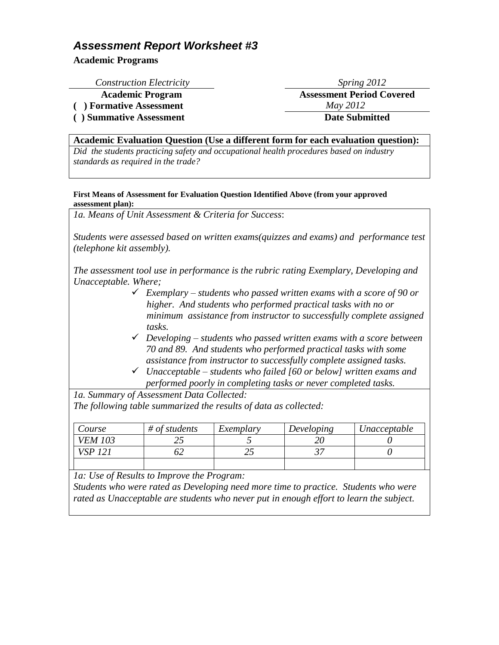**Academic Programs**

*Construction Electricity* Spring 2012

**Academic Program Assessment Period Covered**

**( ) Formative Assessment** *May 2012*

**( ) Summative Assessment Date Submitted**

### **Academic Evaluation Question (Use a different form for each evaluation question):**

*Did the students practicing safety and occupational health procedures based on industry standards as required in the trade?*

#### **First Means of Assessment for Evaluation Question Identified Above (from your approved assessment plan):**

*1a. Means of Unit Assessment & Criteria for Success*:

*Students were assessed based on written exams(quizzes and exams) and performance test (telephone kit assembly).* 

*The assessment tool use in performance is the rubric rating Exemplary, Developing and Unacceptable. Where;*

- *Exemplary – students who passed written exams with a score of 90 or higher. And students who performed practical tasks with no or minimum assistance from instructor to successfully complete assigned tasks.*
- *Developing – students who passed written exams with a score between 70 and 89. And students who performed practical tasks with some assistance from instructor to successfully complete assigned tasks.*
- *Unacceptable – students who failed [60 or below] written exams and performed poorly in completing tasks or never completed tasks.*

*1a. Summary of Assessment Data Collected: The following table summarized the results of data as collected:*

| Course         | $#$ of students | Exemplary | Developing | Unacceptable |
|----------------|-----------------|-----------|------------|--------------|
| <b>VEM 103</b> | ب ب             |           |            |              |
| VS P           |                 |           |            |              |
|                |                 |           |            |              |

*1a: Use of Results to Improve the Program:*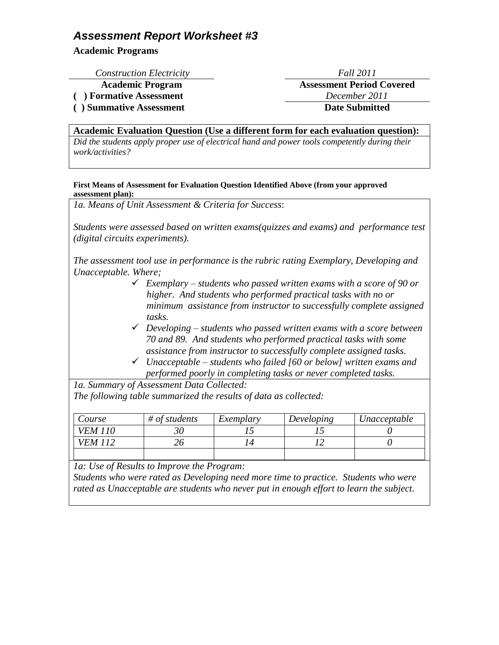**Academic Programs**

| <b>Construction Electricity</b> | Fall 2011                        |
|---------------------------------|----------------------------------|
| <b>Academic Program</b>         | <b>Assessment Period Covered</b> |
| ( ) Formative Assessment        | December 2011                    |
| () Summative Assessment         | <b>Date Submitted</b>            |
|                                 |                                  |

**Academic Evaluation Question (Use a different form for each evaluation question):**

*Did the students apply proper use of electrical hand and power tools competently during their work/activities?*

#### **First Means of Assessment for Evaluation Question Identified Above (from your approved assessment plan):**

*1a. Means of Unit Assessment & Criteria for Success*:

*Students were assessed based on written exams(quizzes and exams) and performance test (digital circuits experiments).* 

*The assessment tool use in performance is the rubric rating Exemplary, Developing and Unacceptable. Where;*

- *Exemplary – students who passed written exams with a score of 90 or higher. And students who performed practical tasks with no or minimum assistance from instructor to successfully complete assigned tasks.*
- *Developing – students who passed written exams with a score between 70 and 89. And students who performed practical tasks with some assistance from instructor to successfully complete assigned tasks.*
- *Unacceptable – students who failed [60 or below] written exams and performed poorly in completing tasks or never completed tasks.*

*1a. Summary of Assessment Data Collected: The following table summarized the results of data as collected:*

| Course         | $#$ of students | Exemplary | Developing | Unacceptable |
|----------------|-----------------|-----------|------------|--------------|
| <i>VEM 110</i> |                 |           |            |              |
| <i>VEM</i>     |                 |           |            |              |
|                |                 |           |            |              |

*1a: Use of Results to Improve the Program:*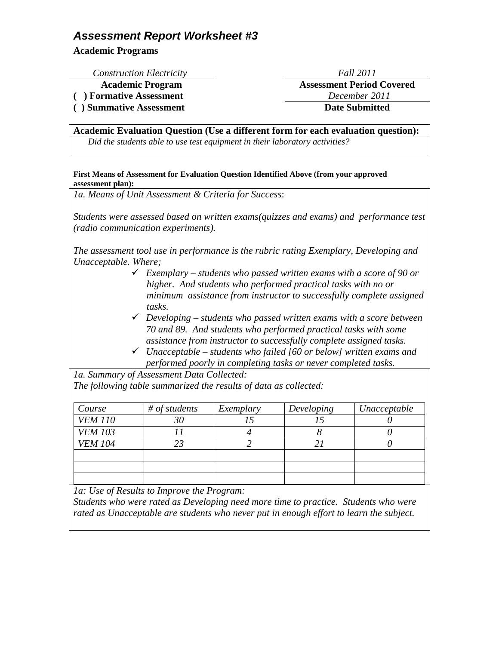**Academic Programs**

*Construction Electricity* **Academic Program** 

 $($  **)** Formative Assessment **( ) Summative Assessment** 

### **Academic Evaluation Question (Use a different form for each evaluation question):**

*Did the students able to use test equipment in their laboratory activities?*

#### **First Means of Assessment for Evaluation Question Identified Above (from your approved assessment plan):**

*1a. Means of Unit Assessment & Criteria for Success*:

*Students were assessed based on written exams(quizzes and exams) and performance test (radio communication experiments).* 

*The assessment tool use in performance is the rubric rating Exemplary, Developing and Unacceptable. Where;*

- *Exemplary – students who passed written exams with a score of 90 or higher. And students who performed practical tasks with no or minimum assistance from instructor to successfully complete assigned tasks.*
- *Developing – students who passed written exams with a score between 70 and 89. And students who performed practical tasks with some assistance from instructor to successfully complete assigned tasks.*
- *Unacceptable – students who failed [60 or below] written exams and performed poorly in completing tasks or never completed tasks.*

*1a. Summary of Assessment Data Collected: The following table summarized the results of data as collected:*

| Course         | $#$ of students | Exemplary | Developing | Unacceptable |
|----------------|-----------------|-----------|------------|--------------|
| <b>VEM 110</b> | 30              |           |            |              |
| <b>VEM 103</b> |                 |           |            |              |
| <b>VEM 104</b> | 23              |           |            |              |
|                |                 |           |            |              |
|                |                 |           |            |              |
|                |                 |           |            |              |

*1a: Use of Results to Improve the Program:*